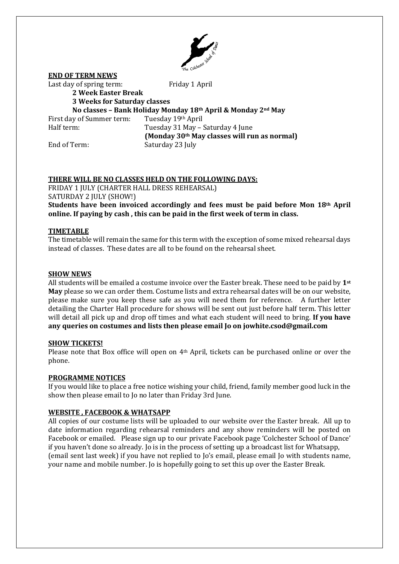

**END OF TERM NEWS** Last day of spring term: Friday 1 April **2 Week Easter Break 3 Weeks for Saturday classes No classes – Bank Holiday Monday 18th April & Monday 2nd May** First day of Summer term: Tuesday 19th April Half term: Tuesday 31 May – Saturday 4 June **(Monday 30th May classes will run as normal)** End of Term: Saturday 23 July

# **THERE WILL BE NO CLASSES HELD ON THE FOLLOWING DAYS:**

FRIDAY 1 JULY (CHARTER HALL DRESS REHEARSAL) SATURDAY 2 JULY (SHOW!)

**Students have been invoiced accordingly and fees must be paid before Mon 18th April online. If paying by cash , this can be paid in the first week of term in class.**

# **TIMETABLE**

The timetable will remain the same for this term with the exception of some mixed rehearsal days instead of classes. These dates are all to be found on the rehearsal sheet.

#### **SHOW NEWS**

All students will be emailed a costume invoice over the Easter break. These need to be paid by **1st May** please so we can order them. Costume lists and extra rehearsal dates will be on our website, please make sure you keep these safe as you will need them for reference. A further letter detailing the Charter Hall procedure for shows will be sent out just before half term. This letter will detail all pick up and drop off times and what each student will need to bring. **If you have any queries on costumes and lists then please email Jo on jowhite.csod@gmail.com**

#### **SHOW TICKETS!**

Please note that Box office will open on 4<sup>th</sup> April, tickets can be purchased online or over the phone.

# **PROGRAMME NOTICES**

If you would like to place a free notice wishing your child, friend, family member good luck in the show then please email to Jo no later than Friday 3rd June.

# **WEBSITE , FACEBOOK & WHATSAPP**

All copies of our costume lists will be uploaded to our website over the Easter break. All up to date information regarding rehearsal reminders and any show reminders will be posted on Facebook or emailed. Please sign up to our private Facebook page 'Colchester School of Dance' if you haven't done so already. Jo is in the process of setting up a broadcast list for Whatsapp, (email sent last week) if you have not replied to Jo's email, please email Jo with students name, your name and mobile number. Jo is hopefully going to set this up over the Easter Break.